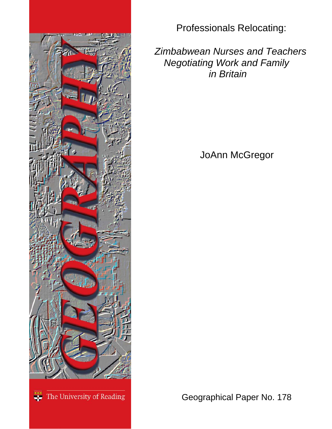

Professionals Relocating:

 *Zimbabwean Nurses and Teachers Negotiating Work and Family in Britain* 

JoAnn McGregor

<sup>\*\*\*</sup> The University of Reading

Geographical Paper No. 178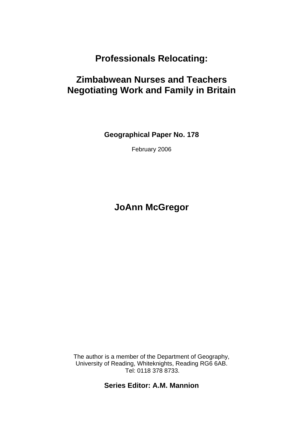# **Professionals Relocating:**

# **Zimbabwean Nurses and Teachers Negotiating Work and Family in Britain**

**Geographical Paper No. 178** 

February 2006

# **JoAnn McGregor**

The author is a member of the Department of Geography, University of Reading, Whiteknights, Reading RG6 6AB. Tel: 0118 378 8733.

**Series Editor: A.M. Mannion**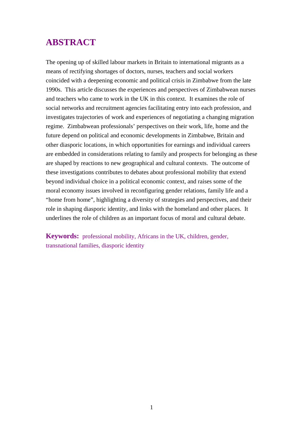## **ABSTRACT**

The opening up of skilled labour markets in Britain to international migrants as a means of rectifying shortages of doctors, nurses, teachers and social workers coincided with a deepening economic and political crisis in Zimbabwe from the late 1990s. This article discusses the experiences and perspectives of Zimbabwean nurses and teachers who came to work in the UK in this context. It examines the role of social networks and recruitment agencies facilitating entry into each profession, and investigates trajectories of work and experiences of negotiating a changing migration regime. Zimbabwean professionals' perspectives on their work, life, home and the future depend on political and economic developments in Zimbabwe, Britain and other diasporic locations, in which opportunities for earnings and individual careers are embedded in considerations relating to family and prospects for belonging as these are shaped by reactions to new geographical and cultural contexts. The outcome of these investigations contributes to debates about professional mobility that extend beyond individual choice in a political economic context, and raises some of the moral economy issues involved in reconfiguring gender relations, family life and a "home from home", highlighting a diversity of strategies and perspectives, and their role in shaping diasporic identity, and links with the homeland and other places. It underlines the role of children as an important focus of moral and cultural debate.

**Keywords:** professional mobility, Africans in the UK, children, gender, transnational families, diasporic identity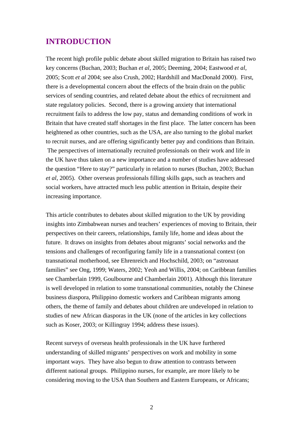### **INTRODUCTION**

The recent high profile public debate about skilled migration to Britain has raised two key concerns (Buchan, 2003; Buchan *et al*, 2005; Deeming, 2004; Eastwood *et al*, 2005; Scott *et al* 2004; see also Crush, 2002; Hardshill and MacDonald 2000). First, there is a developmental concern about the effects of the brain drain on the public services of sending countries, and related debate about the ethics of recruitment and state regulatory policies. Second, there is a growing anxiety that international recruitment fails to address the low pay, status and demanding conditions of work in Britain that have created staff shortages in the first place. The latter concern has been heightened as other countries, such as the USA, are also turning to the global market to recruit nurses, and are offering significantly better pay and conditions than Britain. The perspectives of internationally recruited professionals on their work and life in the UK have thus taken on a new importance and a number of studies have addressed the question "Here to stay?" particularly in relation to nurses (Buchan, 2003; Buchan *et al*, 2005). Other overseas professionals filling skills gaps, such as teachers and social workers, have attracted much less public attention in Britain, despite their increasing importance.

This article contributes to debates about skilled migration to the UK by providing insights into Zimbabwean nurses and teachers' experiences of moving to Britain, their perspectives on their careers, relationships, family life, home and ideas about the future. It draws on insights from debates about migrants' social networks and the tensions and challenges of reconfiguring family life in a transnational context (on transnational motherhood, see Ehrenreich and Hochschild, 2003; on "astronaut families" see Ong, 1999; Waters, 2002; Yeoh and Willis, 2004; on Caribbean families see Chamberlain 1999, Goulbourne and Chamberlain 2001). Although this literature is well developed in relation to some transnational communities, notably the Chinese business diaspora, Philippino domestic workers and Caribbean migrants among others, the theme of family and debates about children are undeveloped in relation to studies of new African diasporas in the UK (none of the articles in key collections such as Koser, 2003; or Killingray 1994; address these issues).

Recent surveys of overseas health professionals in the UK have furthered understanding of skilled migrants' perspectives on work and mobility in some important ways. They have also begun to draw attention to contrasts between different national groups. Philippino nurses, for example, are more likely to be considering moving to the USA than Southern and Eastern Europeans, or Africans;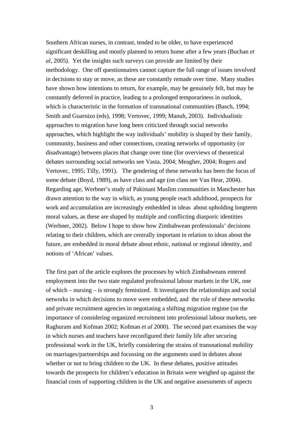Southern African nurses, in contrast, tended to be older, to have experienced significant deskilling and mostly planned to return home after a few years (Buchan *et al*, 2005). Yet the insights such surveys can provide are limited by their methodology. One off questionnaires cannot capture the full range of issues involved in decisions to stay or move, as these are constantly remade over time. Many studies have shown how intentions to return, for example, may be genuinely felt, but may be constantly deferred in practice, leading to a prolonged temporariness in outlook, which is characteristic in the formation of transnational communities (Basch, 1994; Smith and Guarnizo (eds), 1998; Vertovec, 1999; Manuh, 2003). Individualistic approaches to migration have long been criticized through social networks approaches, which highlight the way individuals' mobility is shaped by their family, community, business and other connections, creating networks of opportunity (or disadvantage) between places that change over time (for overviews of theoretical debates surrounding social networks see Vasta, 2004; Meagher, 2004; Rogers and Vertovec, 1995; Tilly, 1991). The gendering of these networks has been the focus of some debate (Boyd, 1989), as have class and age (on class see Van Hear, 2004). Regarding age, Werbner's study of Pakistani Muslim communities in Manchester has drawn attention to the way in which, as young people reach adulthood, prospects for work and accumulation are increasingly embedded in ideas about upholding longterm moral values, as these are shaped by multiple and conflicting diasporic identities (Werbner, 2002). Below I hope to show how Zimbabwean professionals' decisions relating to their children, which are centrally important in relation to ideas about the future, are embedded in moral debate about ethnic, national or regional identity, and notions of 'African' values.

The first part of the article explores the processes by which Zimbabweans entered employment into the two state regulated professional labour markets in the UK, one of which – nursing – is strongly feminized. It investigates the relationships and social networks in which decisions to move were embedded, and the role of these networks and private recruitment agencies in negotiating a shifting migration regime (on the importance of considering organized recruitment into professional labour markets, see Raghuram and Kofman 2002; Kofman *et al* 2000). The second part examines the way in which nurses and teachers have reconfigured their family life after securing professional work in the UK, briefly considering the strains of transnational mobility on marriages/partnerships and focussing on the arguments used in debates about whether or not to bring children to the UK. In these debates, positive attitudes towards the prospects for children's education in Britain were weighed up against the financial costs of supporting children in the UK and negative assessments of aspects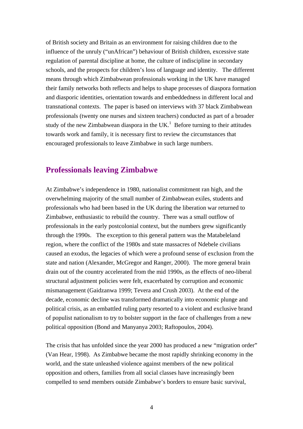of British society and Britain as an environment for raising children due to the influence of the unruly ("unAfrican") behaviour of British children, excessive state regulation of parental discipline at home, the culture of indiscipline in secondary schools, and the prospects for children's loss of language and identity. The different means through which Zimbabwean professionals working in the UK have managed their family networks both reflects and helps to shape processes of diaspora formation and diasporic identities, orientation towards and embeddedness in different local and transnational contexts. The paper is based on interviews with 37 black Zimbabwean professionals (twenty one nurses and sixteen teachers) conducted as part of a broader study of the new Zimbabwean diaspora in the UK.<sup>[1](#page-33-0)</sup> Before turning to their attitudes towards work and family, it is necessary first to review the circumstances that encouraged professionals to leave Zimbabwe in such large numbers.

#### **Professionals leaving Zimbabwe**

At Zimbabwe's independence in 1980, nationalist commitment ran high, and the overwhelming majority of the small number of Zimbabwean exiles, students and professionals who had been based in the UK during the liberation war returned to Zimbabwe, enthusiastic to rebuild the country. There was a small outflow of professionals in the early postcolonial context, but the numbers grew significantly through the 1990s. The exception to this general pattern was the Matabeleland region, where the conflict of the 1980s and state massacres of Ndebele civilians caused an exodus, the legacies of which were a profound sense of exclusion from the state and nation (Alexander, McGregor and Ranger, 2000). The more general brain drain out of the country accelerated from the mid 1990s, as the effects of neo-liberal structural adjustment policies were felt, exacerbated by corruption and economic mismanagement (Gaidzanwa 1999; Tevera and Crush 2003). At the end of the decade, economic decline was transformed dramatically into economic plunge and political crisis, as an embattled ruling party resorted to a violent and exclusive brand of populist nationalism to try to bolster support in the face of challenges from a new political opposition (Bond and Manyanya 2003; Raftopoulos, 2004).

The crisis that has unfolded since the year 2000 has produced a new "migration order" (Van Hear, 1998). As Zimbabwe became the most rapidly shrinking economy in the world, and the state unleashed violence against members of the new political opposition and others, families from all social classes have increasingly been compelled to send members outside Zimbabwe's borders to ensure basic survival,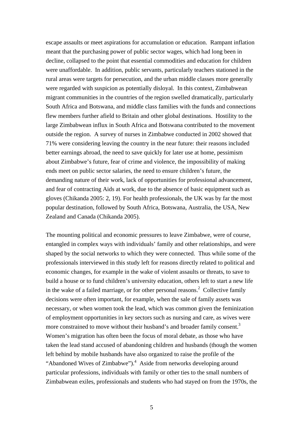escape assaults or meet aspirations for accumulation or education. Rampant inflation meant that the purchasing power of public sector wages, which had long been in decline, collapsed to the point that essential commodities and education for children were unaffordable. In addition, public servants, particularly teachers stationed in the rural areas were targets for persecution, and the urban middle classes more generally were regarded with suspicion as potentially disloyal. In this context, Zimbabwean migrant communities in the countries of the region swelled dramatically, particularly South Africa and Botswana, and middle class families with the funds and connections flew members further afield to Britain and other global destinations. Hostility to the large Zimbabwean influx in South Africa and Botswana contributed to the movement outside the region. A survey of nurses in Zimbabwe conducted in 2002 showed that 71% were considering leaving the country in the near future: their reasons included better earnings abroad, the need to save quickly for later use at home, pessimism about Zimbabwe's future, fear of crime and violence, the impossibility of making ends meet on public sector salaries, the need to ensure children's future, the demanding nature of their work, lack of opportunities for professional advancement, and fear of contracting Aids at work, due to the absence of basic equipment such as gloves (Chikanda 2005: 2, 19). For health professionals, the UK was by far the most popular destination, followed by South Africa, Botswana, Australia, the USA, New Zealand and Canada (Chikanda 2005).

The mounting political and economic pressures to leave Zimbabwe, were of course, entangled in complex ways with individuals' family and other relationships, and were shaped by the social networks to which they were connected. Thus while some of the professionals interviewed in this study left for reasons directly related to political and economic changes, for example in the wake of violent assaults or threats, to save to build a house or to fund children's university education, others left to start a new life in the wake of a failed marriage, or for other personal reasons. $2$  Collective family decisions were often important, for example, when the sale of family assets was necessary, or when women took the lead, which was common given the feminization of employment opportunities in key sectors such as nursing and care, as wives were more constrained to move without their husband's and broader family consent.<sup>3</sup> Women's migration has often been the focus of moral debate, as those who have taken the lead stand accused of abandoning children and husbands (though the women left behind by mobile husbands have also organized to raise the profile of the "Abandoned Wives of Zimbabwe").<sup>[4](#page-33-3)</sup> Aside from networks developing around particular professions, individuals with family or other ties to the small numbers of Zimbabwean exiles, professionals and students who had stayed on from the 1970s, the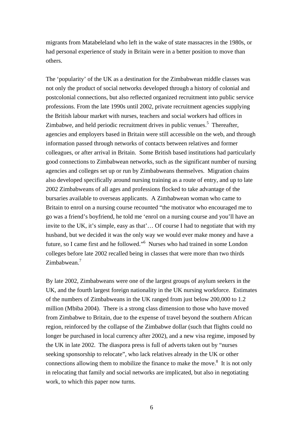migrants from Matabeleland who left in the wake of state massacres in the 1980s, or had personal experience of study in Britain were in a better position to move than others.

The 'popularity' of the UK as a destination for the Zimbabwean middle classes was not only the product of social networks developed through a history of colonial and postcolonial connections, but also reflected organized recruitment into public service professions. From the late 1990s until 2002, private recruitment agencies supplying the British labour market with nurses, teachers and social workers had offices in Zimbabwe, and held periodic recruitment drives in public venues.<sup>[5](#page-33-4)</sup> Thereafter, agencies and employers based in Britain were still accessible on the web, and through information passed through networks of contacts between relatives and former colleagues, or after arrival in Britain. Some British based institutions had particularly good connections to Zimbabwean networks, such as the significant number of nursing agencies and colleges set up or run by Zimbabweans themselves. Migration chains also developed specifically around nursing training as a route of entry, and up to late 2002 Zimbabweans of all ages and professions flocked to take advantage of the bursaries available to overseas applicants. A Zimbabwean woman who came to Britain to enrol on a nursing course recounted "the motivator who encouraged me to go was a friend's boyfriend, he told me 'enrol on a nursing course and you'll have an invite to the UK, it's simple, easy as that'… Of course I had to negotiate that with my husband, but we decided it was the only way we would ever make money and have a future, so I came first and he followed."[6](#page-33-5) Nurses who had trained in some London colleges before late 2002 recalled being in classes that were more than two thirds Zimbabwean.<sup>[7](#page-33-6)</sup>

By late 2002, Zimbabweans were one of the largest groups of asylum seekers in the UK, and the fourth largest foreign nationality in the UK nursing workforce. Estimates of the numbers of Zimbabweans in the UK ranged from just below 200,000 to 1.2 million (Mbiba 2004). There is a strong class dimension to those who have moved from Zimbabwe to Britain, due to the expense of travel beyond the southern African region, reinforced by the collapse of the Zimbabwe dollar (such that flights could no longer be purchased in local currency after 2002), and a new visa regime, imposed by the UK in late 2002. The diaspora press is full of adverts taken out by "nurses seeking sponsorship to relocate", who lack relatives already in the UK or other connections allowing them to mobilize the finance to make the move.<sup>[8](#page-33-7)</sup> It is not only in relocating that family and social networks are implicated, but also in negotiating work, to which this paper now turns.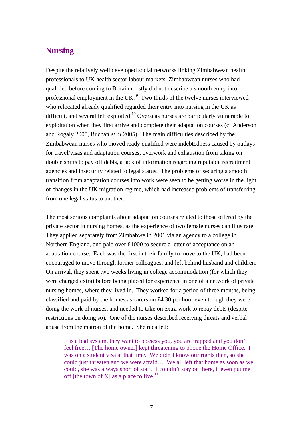### **Nursing**

Despite the relatively well developed social networks linking Zimbabwean health professionals to UK health sector labour markets, Zimbabwean nurses who had qualified before coming to Britain mostly did not describe a smooth entry into professional employment in the UK. [9](#page-33-8) Two thirds of the twelve nurses interviewed who relocated already qualified regarded their entry into nursing in the UK as difficult, and several felt exploited.<sup>10</sup> Overseas nurses are particularly vulnerable to exploitation when they first arrive and complete their adaptation courses (cf Anderson and Rogaly 2005, Buchan *et al* 2005). The main difficulties described by the Zimbabwean nurses who moved ready qualified were indebtedness caused by outlays for travel/visas and adaptation courses, overwork and exhaustion from taking on double shifts to pay off debts, a lack of information regarding reputable recruitment agencies and insecurity related to legal status. The problems of securing a smooth transition from adaptation courses into work were seen to be getting worse in the light of changes in the UK migration regime, which had increased problems of transferring from one legal status to another.

The most serious complaints about adaptation courses related to those offered by the private sector in nursing homes, as the experience of two female nurses can illustrate. They applied separately from Zimbabwe in 2001 via an agency to a college in Northern England, and paid over £1000 to secure a letter of acceptance on an adaptation course. Each was the first in their family to move to the UK, had been encouraged to move through former colleagues, and left behind husband and children. On arrival, they spent two weeks living in college accommodation (for which they were charged extra) before being placed for experience in one of a network of private nursing homes, where they lived in. They worked for a period of three months, being classified and paid by the homes as carers on £4.30 per hour even though they were doing the work of nurses, and needed to take on extra work to repay debts (despite restrictions on doing so). One of the nurses described receiving threats and verbal abuse from the matron of the home. She recalled:

It is a bad system, they want to possess you, you are trapped and you don't feel free….[The home owner] kept threatening to phone the Home Office. I was on a student visa at that time. We didn't know our rights then, so she could just threaten and we were afraid… We all left that home as soon as we could, she was always short of staff. I couldn't stay on there, it even put me off [the town of X] as a place to live.<sup>11</sup>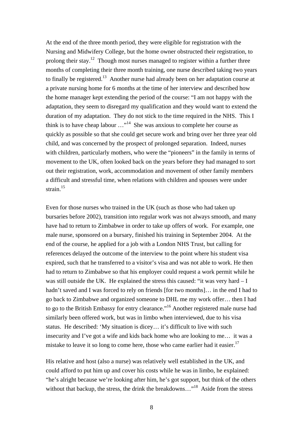At the end of the three month period, they were eligible for registration with the Nursing and Midwifery College, but the home owner obstructed their registration, to prolong their stay.<sup>12</sup> Though most nurses managed to register within a further three months of completing their three month training, one nurse described taking two years to finally be registered.<sup>13</sup> Another nurse had already been on her adaptation course at a private nursing home for 6 months at the time of her interview and described how the home manager kept extending the period of the course: "I am not happy with the adaptation, they seem to disregard my qualification and they would want to extend the duration of my adaptation. They do not stick to the time required in the NHS. This I think is to have cheap labour  $\dots$ <sup>14</sup> She was anxious to complete her course as quickly as possible so that she could get secure work and bring over her three year old child, and was concerned by the prospect of prolonged separation. Indeed, nurses with children, particularly mothers, who were the "pioneers" in the family in terms of movement to the UK, often looked back on the years before they had managed to sort out their registration, work, accommodation and movement of other family members a difficult and stressful time, when relations with children and spouses were under strain.<sup>[15](#page-33-14)</sup>

Even for those nurses who trained in the UK (such as those who had taken up bursaries before 2002), transition into regular work was not always smooth, and many have had to return to Zimbabwe in order to take up offers of work. For example, one male nurse, sponsored on a bursary, finished his training in September 2004. At the end of the course, he applied for a job with a London NHS Trust, but calling for references delayed the outcome of the interview to the point where his student visa expired, such that he transferred to a visitor's visa and was not able to work. He then had to return to Zimbabwe so that his employer could request a work permit while he was still outside the UK. He explained the stress this caused: "it was very hard – I hadn't saved and I was forced to rely on friends [for two months]… in the end I had to go back to Zimbabwe and organized someone to DHL me my work offer… then I had to go to the British Embassy for entry clearance."<sup>16</sup> Another registered male nurse had similarly been offered work, but was in limbo when interviewed, due to his visa status. He described: 'My situation is dicey… it's difficult to live with such insecurity and I've got a wife and kids back home who are looking to me… it was a mistake to leave it so long to come here, those who came earlier had it easier.<sup>[17](#page-33-16)</sup>

His relative and host (also a nurse) was relatively well established in the UK, and could afford to put him up and cover his costs while he was in limbo, he explained: "he's alright because we're looking after him, he's got support, but think of the others without that backup, the stress, the drink the breakdowns..."<sup>18</sup> Aside from the stress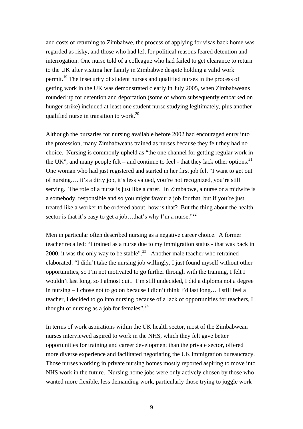and costs of returning to Zimbabwe, the process of applying for visas back home was regarded as risky, and those who had left for political reasons feared detention and interrogation. One nurse told of a colleague who had failed to get clearance to return to the UK after visiting her family in Zimbabwe despite holding a valid work permit.<sup>19</sup> The insecurity of student nurses and qualified nurses in the process of getting work in the UK was demonstrated clearly in July 2005, when Zimbabweans rounded up for detention and deportation (some of whom subsequently embarked on hunger strike) included at least one student nurse studying legitimately, plus another qualified nurse in transition to work.<sup>20</sup>

Although the bursaries for nursing available before 2002 had encouraged entry into the profession, many Zimbabweans trained as nurses because they felt they had no choice. Nursing is commonly upheld as "the one channel for getting regular work in the UK", and many people felt – and continue to feel - that they lack other options.<sup>21</sup> One woman who had just registered and started in her first job felt "I want to get out of nursing…. it's a dirty job, it's less valued, you're not recognized, you're still serving. The role of a nurse is just like a carer. In Zimbabwe, a nurse or a midwife is a somebody, responsible and so you might favour a job for that, but if you're just treated like a worker to be ordered about, how is that? But the thing about the health sector is that it's easy to get a job...that's why I'm a nurse."<sup>22</sup>

Men in particular often described nursing as a negative career choice. A former teacher recalled: "I trained as a nurse due to my immigration status - that was back in 2000, it was the only way to be stable".<sup>23</sup> Another male teacher who retrained elaborated: "I didn't take the nursing job willingly, I just found myself without other opportunities, so I'm not motivated to go further through with the training, I felt I wouldn't last long, so I almost quit. I'm still undecided, I did a diploma not a degree in nursing – I chose not to go on because I didn't think I'd last long… I still feel a teacher, I decided to go into nursing because of a lack of opportunities for teachers, I thought of nursing as a job for females". $24$ 

In terms of work aspirations within the UK health sector, most of the Zimbabwean nurses interviewed aspired to work in the NHS, which they felt gave better opportunities for training and career development than the private sector, offered more diverse experience and facilitated negotiating the UK immigration bureaucracy. Those nurses working in private nursing homes mostly reported aspiring to move into NHS work in the future. Nursing home jobs were only actively chosen by those who wanted more flexible, less demanding work, particularly those trying to juggle work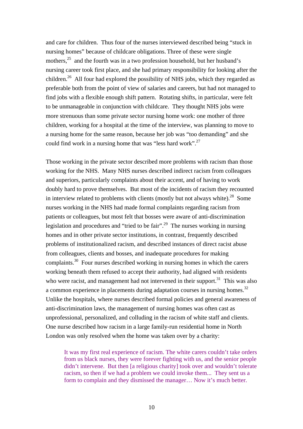and care for children. Thus four of the nurses interviewed described being "stuck in nursing homes" because of childcare obligations. Three of these were single mothers,  $25$  and the fourth was in a two profession household, but her husband's nursing career took first place, and she had primary responsibility for looking after the children.<sup>26</sup> All four had explored the possibility of NHS jobs, which they regarded as preferable both from the point of view of salaries and careers, but had not managed to find jobs with a flexible enough shift pattern. Rotating shifts, in particular, were felt to be unmanageable in conjunction with childcare. They thought NHS jobs were more strenuous than some private sector nursing home work: one mother of three children, working for a hospital at the time of the interview, was planning to move to a nursing home for the same reason, because her job was "too demanding" and she could find work in a nursing home that was "less hard work".<sup>27</sup>

Those working in the private sector described more problems with racism than those working for the NHS. Many NHS nurses described indirect racism from colleagues and superiors, particularly complaints about their accent, and of having to work doubly hard to prove themselves. But most of the incidents of racism they recounted in interview related to problems with clients (mostly but not always white).<sup>28</sup> Some nurses working in the NHS had made formal complaints regarding racism from patients or colleagues, but most felt that bosses were aware of anti-discrimination legislation and procedures and "tried to be fair".<sup>29</sup> The nurses working in nursing homes and in other private sector institutions, in contrast, frequently described problems of institutionalized racism, and described instances of direct racist abuse from colleagues, clients and bosses, and inadequate procedures for making complaints.[30](#page-33-29) Four nurses described working in nursing homes in which the carers working beneath them refused to accept their authority, had aligned with residents who were racist, and management had not intervened in their support. $31$  This was also a common experience in placements during adaptation courses in nursing homes.<sup>32</sup> Unlike the hospitals, where nurses described formal policies and general awareness of anti-discrimination laws, the management of nursing homes was often cast as unprofessional, personalized, and colluding in the racism of white staff and clients. One nurse described how racism in a large family-run residential home in North London was only resolved when the home was taken over by a charity:

It was my first real experience of racism. The white carers couldn't take orders from us black nurses, they were forever fighting with us, and the senior people didn't intervene. But then [a religious charity] took over and wouldn't tolerate racism, so then if we had a problem we could invoke them... They sent us a form to complain and they dismissed the manager… Now it's much better.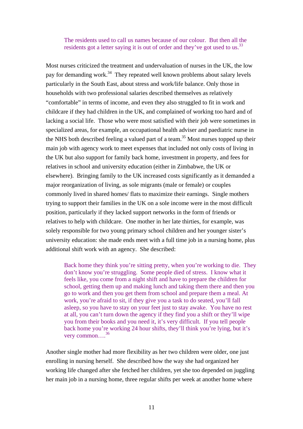The residents used to call us names because of our colour. But then all the residents got a letter saying it is out of order and they've got used to us.<sup>33</sup>

Most nurses criticized the treatment and undervaluation of nurses in the UK, the low pay for demanding work.<sup>34</sup> They repeated well known problems about salary levels particularly in the South East, about stress and work/life balance. Only those in households with two professional salaries described themselves as relatively "comfortable" in terms of income, and even they also struggled to fit in work and childcare if they had children in the UK, and complained of working too hard and of lacking a social life. Those who were most satisfied with their job were sometimes in specialized areas, for example, an occupational health adviser and paediatric nurse in the NHS both described feeling a valued part of a team.<sup>35</sup> Most nurses topped up their main job with agency work to meet expenses that included not only costs of living in the UK but also support for family back home, investment in property, and fees for relatives in school and university education (either in Zimbabwe, the UK or elsewhere). Bringing family to the UK increased costs significantly as it demanded a major reorganization of living, as sole migrants (male or female) or couples commonly lived in shared homes/ flats to maximize their earnings. Single mothers trying to support their families in the UK on a sole income were in the most difficult position, particularly if they lacked support networks in the form of friends or relatives to help with childcare. One mother in her late thirties, for example, was solely responsible for two young primary school children and her younger sister's university education: she made ends meet with a full time job in a nursing home, plus additional shift work with an agency. She described:

Back home they think you're sitting pretty, when you're working to die. They don't know you're struggling. Some people died of stress. I know what it feels like, you come from a night shift and have to prepare the children for school, getting them up and making lunch and taking them there and then you go to work and then you get them from school and prepare them a meal. At work, you're afraid to sit, if they give you a task to do seated, you'll fall asleep, so you have to stay on your feet just to stay awake. You have no rest at all, you can't turn down the agency if they find you a shift or they'll wipe you from their books and you need it, it's very difficult. If you tell people back home you're working 24 hour shifts, they'll think you're lying, but it's very common….[36](#page-33-35)

Another single mother had more flexibility as her two children were older, one just enrolling in nursing herself. She described how the way she had organized her working life changed after she fetched her children, yet she too depended on juggling her main job in a nursing home, three regular shifts per week at another home where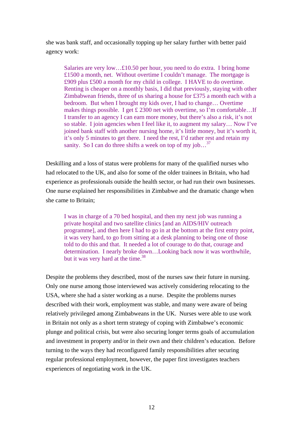she was bank staff, and occasionally topping up her salary further with better paid agency work:

Salaries are very low…£10.50 per hour, you need to do extra. I bring home £1500 a month, net. Without overtime I couldn't manage. The mortgage is £909 plus £500 a month for my child in college. I HAVE to do overtime. Renting is cheaper on a monthly basis, I did that previously, staying with other Zimbabwean friends, three of us sharing a house for £375 a month each with a bedroom. But when I brought my kids over, I had to change… Overtime makes things possible. I get  $\pounds$  2300 net with overtime, so I'm comfortable...If I transfer to an agency I can earn more money, but there's also a risk, it's not so stable. I join agencies when I feel like it, to augment my salary… Now I've joined bank staff with another nursing home, it's little money, but it's worth it, it's only 5 minutes to get there. I need the rest, I'd rather rest and retain my sanity. So I can do three shifts a week on top of my job... $^{37}$  $^{37}$  $^{37}$ 

Deskilling and a loss of status were problems for many of the qualified nurses who had relocated to the UK, and also for some of the older trainees in Britain, who had experience as professionals outside the health sector, or had run their own businesses. One nurse explained her responsibilities in Zimbabwe and the dramatic change when she came to Britain;

I was in charge of a 70 bed hospital, and then my next job was running a private hospital and two satellite clinics [and an AIDS/HIV outreach programme], and then here I had to go in at the bottom at the first entry point, it was very hard, to go from sitting at a desk planning to being one of those told to do this and that. It needed a lot of courage to do that, courage and determination. I nearly broke down…Looking back now it was worthwhile, but it was very hard at the time. $38$ 

Despite the problems they described, most of the nurses saw their future in nursing. Only one nurse among those interviewed was actively considering relocating to the USA, where she had a sister working as a nurse. Despite the problems nurses described with their work, employment was stable, and many were aware of being relatively privileged among Zimbabweans in the UK. Nurses were able to use work in Britain not only as a short term strategy of coping with Zimbabwe's economic plunge and political crisis, but were also securing longer terms goals of accumulation and investment in property and/or in their own and their children's education. Before turning to the ways they had reconfigured family responsibilities after securing regular professional employment, however, the paper first investigates teachers experiences of negotiating work in the UK.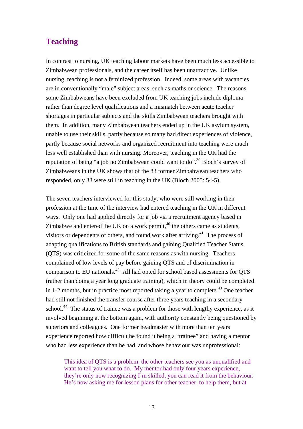### **Teaching**

In contrast to nursing, UK teaching labour markets have been much less accessible to Zimbabwean professionals, and the career itself has been unattractive. Unlike nursing, teaching is not a feminized profession. Indeed, some areas with vacancies are in conventionally "male" subject areas, such as maths or science. The reasons some Zimbabweans have been excluded from UK teaching jobs include diploma rather than degree level qualifications and a mismatch between acute teacher shortages in particular subjects and the skills Zimbabwean teachers brought with them. In addition, many Zimbabwean teachers ended up in the UK asylum system, unable to use their skills, partly because so many had direct experiences of violence, partly because social networks and organized recruitment into teaching were much less well established than with nursing. Moreover, teaching in the UK had the reputation of being "a job no Zimbabwean could want to  $\phi$ ".<sup>39</sup> Bloch's survey of Zimbabweans in the UK shows that of the 83 former Zimbabwean teachers who responded, only 33 were still in teaching in the UK (Bloch 2005: 54-5).

The seven teachers interviewed for this study, who were still working in their profession at the time of the interview had entered teaching in the UK in different ways. Only one had applied directly for a job via a recruitment agency based in Zimbabwe and entered the UK on a work permit,  $40$  the others came as students, visitors or dependents of others, and found work after arriving.<sup>41</sup> The process of adapting qualifications to British standards and gaining Qualified Teacher Status (QTS) was criticized for some of the same reasons as with nursing. Teachers complained of low levels of pay before gaining QTS and of discrimination in comparison to EU nationals.[42](#page-33-41) All had opted for school based assessments for QTS (rather than doing a year long graduate training), which in theory could be completed in 1-2 months, but in practice most reported taking a year to complete.<sup>43</sup> One teacher had still not finished the transfer course after three years teaching in a secondary school.<sup>44</sup> The status of trainee was a problem for those with lengthy experience, as it involved beginning at the bottom again, with authority constantly being questioned by superiors and colleagues. One former headmaster with more than ten years experience reported how difficult he found it being a "trainee" and having a mentor who had less experience than he had, and whose behaviour was unprofessional:

This idea of QTS is a problem, the other teachers see you as unqualified and want to tell you what to do. My mentor had only four years experience, they're only now recognizing I'm skilled, you can read it from the behaviour. He's now asking me for lesson plans for other teacher, to help them, but at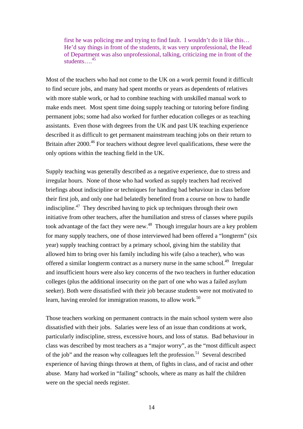first he was policing me and trying to find fault. I wouldn't do it like this… He'd say things in front of the students, it was very unprofessional, the Head of Department was also unprofessional, talking, criticizing me in front of the students…[.45](#page-33-44)

Most of the teachers who had not come to the UK on a work permit found it difficult to find secure jobs, and many had spent months or years as dependents of relatives with more stable work, or had to combine teaching with unskilled manual work to make ends meet. Most spent time doing supply teaching or tutoring before finding permanent jobs; some had also worked for further education colleges or as teaching assistants. Even those with degrees from the UK and past UK teaching experience described it as difficult to get permanent mainstream teaching jobs on their return to Britain after 2000.<sup>46</sup> For teachers without degree level qualifications, these were the only options within the teaching field in the UK.

Supply teaching was generally described as a negative experience, due to stress and irregular hours. None of those who had worked as supply teachers had received briefings about indiscipline or techniques for handing bad behaviour in class before their first job, and only one had belatedly benefited from a course on how to handle indiscipline[.47](#page-33-12) They described having to pick up techniques through their own initiative from other teachers, after the humiliation and stress of classes where pupils took advantage of the fact they were new.<sup>48</sup> Though irregular hours are a key problem for many supply teachers, one of those interviewed had been offered a "longterm" (six year) supply teaching contract by a primary school, giving him the stability that allowed him to bring over his family including his wife (also a teacher), who was offered a similar longterm contract as a nursery nurse in the same school.<sup>49</sup> Irregular and insufficient hours were also key concerns of the two teachers in further education colleges (plus the additional insecurity on the part of one who was a failed asylum seeker). Both were dissatisfied with their job because students were not motivated to learn, having enroled for immigration reasons, to allow work.<sup>50</sup>

Those teachers working on permanent contracts in the main school system were also dissatisfied with their jobs. Salaries were less of an issue than conditions at work, particularly indiscipline, stress, excessive hours, and loss of status. Bad behaviour in class was described by most teachers as a "major worry", as the "most difficult aspect of the job" and the reason why colleagues left the profession.<sup>51</sup> Several described experience of having things thrown at them, of fights in class, and of racist and other abuse. Many had worked in "failing" schools, where as many as half the children were on the special needs register.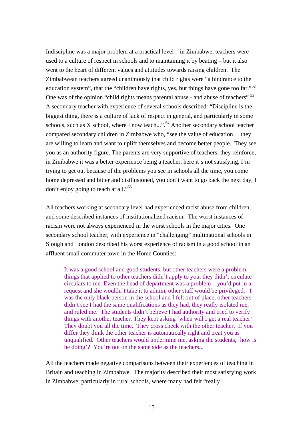Indiscipline was a major problem at a practical level – in Zimbabwe, teachers were used to a culture of respect in schools and to maintaining it by beating – but it also went to the heart of different values and attitudes towards raising children. The Zimbabwean teachers agreed unanimously that child rights were "a hindrance to the education system", that the "children have rights, yes, but things have gone too far."<sup>52</sup> One was of the opinion "child rights means parental abuse - and abuse of teachers".<sup>53</sup> A secondary teacher with experience of several schools described: "Discipline is the biggest thing, there is a culture of lack of respect in general, and particularly in some schools, such as X school, where I now teach...".<sup>54</sup> Another secondary school teacher compared secondary children in Zimbabwe who, "see the value of education… they are willing to learn and want to uplift themselves and become better people. They see you as an authority figure. The parents are very supportive of teachers, they reinforce, in Zimbabwe it was a better experience being a teacher, here it's not satisfying, I'm trying to get out because of the problems you see in schools all the time, you come home depressed and bitter and disillusioned, you don't want to go back the next day, I don't enjoy going to teach at all."<sup>[55](#page-33-19)</sup>

All teachers working at secondary level had experienced racist abuse from children, and some described instances of institutionalized racism. The worst instances of racism were not always experienced in the worst schools in the major cities. One secondary school teacher, with experience in "challenging" multinational schools in Slough and London described his worst experience of racism in a good school in an affluent small commuter town in the Home Counties:

It was a good school and good students, but other teachers were a problem, things that applied to other teachers didn't apply to you, they didn't circulate circulars to me. Even the head of department was a problem…you'd put in a request and she wouldn't take it to admin, other staff would be privileged. I was the only black person in the school and I felt out of place, other teachers didn't see I had the same qualifications as they had, they really isolated me, and ruled me. The students didn't believe I had authority and tried to verify things with another teacher. They kept asking 'when will I get a real teacher'. They doubt you all the time. They cross check with the other teacher. If you differ they think the other teacher is automatically right and treat you as unqualified. Other teachers would undermine me, asking the students, 'how is he doing'? You're not on the same side as the teachers...

All the teachers made negative comparisons between their experiences of teaching in Britain and teaching in Zimbabwe. The majority described their most satisfying work in Zimbabwe, particularly in rural schools, where many had felt "really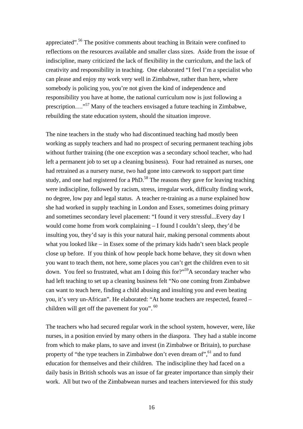appreciated".<sup>56</sup> The positive comments about teaching in Britain were confined to reflections on the resources available and smaller class sizes. Aside from the issue of indiscipline, many criticized the lack of flexibility in the curriculum, and the lack of creativity and responsibility in teaching. One elaborated "I feel I'm a specialist who can please and enjoy my work very well in Zimbabwe, rather than here, where somebody is policing you, you're not given the kind of independence and responsibility you have at home, the national curriculum now is just following a prescription…."[57](#page-33-22) Many of the teachers envisaged a future teaching in Zimbabwe, rebuilding the state education system, should the situation improve.

The nine teachers in the study who had discontinued teaching had mostly been working as supply teachers and had no prospect of securing permanent teaching jobs without further training (the one exception was a secondary school teacher, who had left a permanent job to set up a cleaning business). Four had retrained as nurses, one had retrained as a nursery nurse, two had gone into carework to support part time study, and one had registered for a PhD.<sup>58</sup> The reasons they gave for leaving teaching were indiscipline, followed by racism, stress, irregular work, difficulty finding work, no degree, low pay and legal status. A teacher re-training as a nurse explained how she had worked in supply teaching in London and Essex, sometimes doing primary and sometimes secondary level placement: "I found it very stressful...Every day I would come home from work complaining – I found I couldn't sleep, they'd be insulting you, they'd say is this your natural hair, making personal comments about what you looked like – in Essex some of the primary kids hadn't seen black people close up before. If you think of how people back home behave, they sit down when you want to teach them, not here, some places you can't get the children even to sit down. You feel so frustrated, what am I doing this for?"<sup>59</sup>A secondary teacher who had left teaching to set up a cleaning business felt "No one coming from Zimbabwe can want to teach here, finding a child abusing and insulting you and even beating you, it's very un-African". He elaborated: "At home teachers are respected, feared – children will get off the pavement for you". <sup>60</sup>

The teachers who had secured regular work in the school system, however, were, like nurses, in a position envied by many others in the diaspora. They had a stable income from which to make plans, to save and invest (in Zimbabwe or Britain), to purchase property of "the type teachers in Zimbabwe don't even dream of", <sup>61</sup> and to fund education for themselves and their children. The indiscipline they had faced on a daily basis in British schools was an issue of far greater importance than simply their work. All but two of the Zimbabwean nurses and teachers interviewed for this study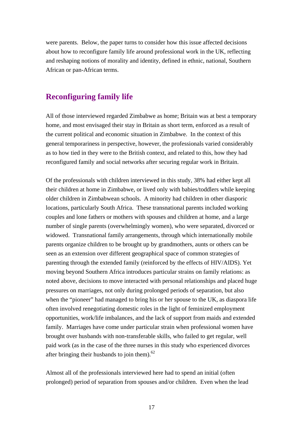were parents. Below, the paper turns to consider how this issue affected decisions about how to reconfigure family life around professional work in the UK, reflecting and reshaping notions of morality and identity, defined in ethnic, national, Southern African or pan-African terms.

### **Reconfiguring family life**

All of those interviewed regarded Zimbabwe as home; Britain was at best a temporary home, and most envisaged their stay in Britain as short term, enforced as a result of the current political and economic situation in Zimbabwe. In the context of this general temporariness in perspective, however, the professionals varied considerably as to how tied in they were to the British context, and related to this, how they had reconfigured family and social networks after securing regular work in Britain.

Of the professionals with children interviewed in this study, 38% had either kept all their children at home in Zimbabwe, or lived only with babies/toddlers while keeping older children in Zimbabwean schools. A minority had children in other diasporic locations, particularly South Africa. These transnational parents included working couples and lone fathers or mothers with spouses and children at home, and a large number of single parents (overwhelmingly women), who were separated, divorced or widowed. Transnational family arrangements, through which internationally mobile parents organize children to be brought up by grandmothers, aunts or others can be seen as an extension over different geographical space of common strategies of parenting through the extended family (reinforced by the effects of HIV/AIDS). Yet moving beyond Southern Africa introduces particular strains on family relations: as noted above, decisions to move interacted with personal relationships and placed huge pressures on marriages, not only during prolonged periods of separation, but also when the "pioneer" had managed to bring his or her spouse to the UK, as diaspora life often involved renegotiating domestic roles in the light of feminized employment opportunities, work/life imbalances, and the lack of support from maids and extended family. Marriages have come under particular strain when professional women have brought over husbands with non-transferable skills, who failed to get regular, well paid work (as in the case of the three nurses in this study who experienced divorces after bringing their husbands to join them).<sup>62</sup>

Almost all of the professionals interviewed here had to spend an initial (often prolonged) period of separation from spouses and/or children. Even when the lead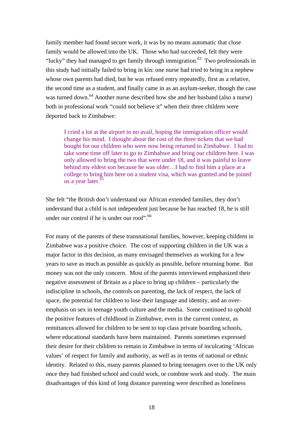family member had found secure work, it was by no means automatic that close family would be allowed into the UK. Those who had succeeded, felt they were "lucky" they had managed to get family through immigration.<sup>63</sup> Two professionals in this study had initially failed to bring in kin: one nurse had tried to bring in a nephew whose own parents had died, but he was refused entry repeatedly, first as a relative, the second time as a student, and finally came in as an asylum-seeker, though the case was turned down.<sup>64</sup> Another nurse described how she and her husband (also a nurse) both in professional work "could not believe it" when their three children were deported back to Zimbabwe:

I cried a lot at the airport to no avail, hoping the immigration officer would change his mind. I thought about the cost of the three tickets that we had bought for our children who were now being returned to Zimbabwe. I had to take some time off later to go to Zimbabwe and bring our children here. I was only allowed to bring the two that were under 18, and it was painful to leave behind my eldest son because he was older…I had to find him a place at a college to bring him here on a student visa, which was granted and he joined us a year later.<sup>65</sup>

She felt "the British don't understand our African extended families, they don't understand that a child is not independent just because he has reached 18, he is still under our control if he is under our roof".<sup>66</sup>

For many of the parents of these transnational families, however, keeping children in Zimbabwe was a positive choice. The cost of supporting children in the UK was a major factor in this decision, as many envisaged themselves as working for a few years to save as much as possible as quickly as possible, before returning home. But money was not the only concern. Most of the parents interviewed emphasized their negative assessment of Britain as a place to bring up children – particularly the indiscipline in schools, the controls on parenting, the lack of respect, the lack of space, the potential for children to lose their language and identity, and an overemphasis on sex in teenage youth culture and the media. Some continued to uphold the positive features of childhood in Zimbabwe, even in the current context, as remittances allowed for children to be sent to top class private boarding schools, where educational standards have been maintained. Parents sometimes expressed their desire for their children to remain in Zimbabwe in terms of inculcating 'African values' of respect for family and authority, as well as in terms of national or ethnic identity. Related to this, many parents planned to bring teenagers over to the UK only once they had finished school and could work, or combine work and study. The main disadvantages of this kind of long distance parenting were described as loneliness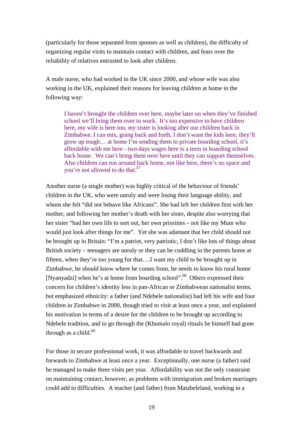(particularly for those separated from spouses as well as children), the difficulty of organizing regular visits to maintain contact with children, and fears over the reliability of relatives entrusted to look after children.

A male nurse, who had worked in the UK since 2000, and whose wife was also working in the UK, explained their reasons for leaving children at home in the following way:

I haven't brought the children over here, maybe later on when they've finished school we'll bring them over to work. It's too expensive to have children here, my wife is here too, my sister is looking after our children back in Zimbabwe. I can mix, going back and forth, I don't want the kids here, they'll grow up tough… at home I'm sending them to private boarding school, it's affordable with me here - two days wages here is a term in boarding school back home. We can't bring them over here until they can support themselves. Also children can run around back home, not like here, there's no space and you're not allowed to do that.<sup>67</sup>

Another nurse (a single mother) was highly critical of the behaviour of friends' children in the UK, who were unruly and were losing their language ability, and whom she felt "did not behave like Africans". She had left her children first with her mother, and following her mother's death with her sister, despite also worrying that her sister "had her own life to sort out, her own priorities – not like my Mum who would just look after things for me". Yet she was adamant that her child should not be brought up in Britain: "I'm a patriot, very patriotic, I don't like lots of things about British society – teenagers are unruly or they can be cuddling in the parents home at fifteen, when they're too young for that….I want my child to be brought up in Zimbabwe, he should know where he comes from, he needs to know his rural home [Nyanyadzi] when he's at home from boarding school".<sup>68</sup> Others expressed their concern for children's identity less in pan-African or Zimbabwean nationalist terms, but emphasized ethnicity: a father (and Ndebele nationalist) had left his wife and four children in Zimbabwe in 2000, though tried to visit at least once a year, and explained his motivation in terms of a desire for the children to be brought up according to Ndebele tradition, and to go through the (Khumalo royal) rituals he himself had gone through as a child. $69$ 

For those in secure professional work, it was affordable to travel backwards and forwards to Zimbabwe at least once a year. Exceptionally, one nurse (a father) said he managed to make three visits per year. Affordability was not the only constraint on maintaining contact, however, as problems with immigration and broken marriages could add to difficulties. A teacher (and father) from Matabeleland, working in a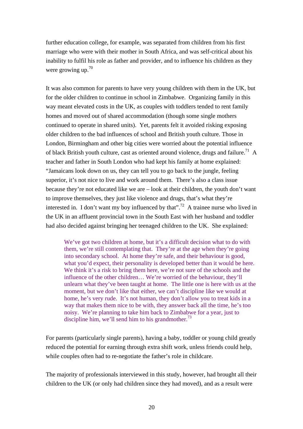further education college, for example, was separated from children from his first marriage who were with their mother in South Africa, and was self-critical about his inability to fulfil his role as father and provider, and to influence his children as they were growing up. $70$ 

It was also common for parents to have very young children with them in the UK, but for the older children to continue in school in Zimbabwe. Organizing family in this way meant elevated costs in the UK, as couples with toddlers tended to rent family homes and moved out of shared accommodation (though some single mothers continued to operate in shared units). Yet, parents felt it avoided risking exposing older children to the bad influences of school and British youth culture. Those in London, Birmingham and other big cities were worried about the potential influence of black British youth culture, cast as oriented around violence, drugs and failure.<sup>71</sup> A teacher and father in South London who had kept his family at home explained: "Jamaicans look down on us, they can tell you to go back to the jungle, feeling superior, it's not nice to live and work around them. There's also a class issue because they're not educated like we are – look at their children, the youth don't want to improve themselves, they just like violence and drugs, that's what they're interested in. I don't want my boy influenced by that".<sup>72</sup> A trainee nurse who lived in the UK in an affluent provincial town in the South East with her husband and toddler had also decided against bringing her teenaged children to the UK. She explained:

We've got two children at home, but it's a difficult decision what to do with them, we're still contemplating that. They're at the age when they're going into secondary school. At home they're safe, and their behaviour is good, what you'd expect, their personality is developed better than it would be here. We think it's a risk to bring them here, we're not sure of the schools and the influence of the other children… We're worried of the behaviour, they'll unlearn what they've been taught at home. The little one is here with us at the moment, but we don't like that either, we can't discipline like we would at home, he's very rude. It's not human, they don't allow you to treat kids in a way that makes them nice to be with, they answer back all the time, he's too noisy. We're planning to take him back to Zimbabwe for a year, just to discipline him, we'll send him to his grandmother.<sup>73</sup>

For parents (particularly single parents), having a baby, toddler or young child greatly reduced the potential for earning through extra shift work, unless friends could help, while couples often had to re-negotiate the father's role in childcare.

The majority of professionals interviewed in this study, however, had brought all their children to the UK (or only had children since they had moved), and as a result were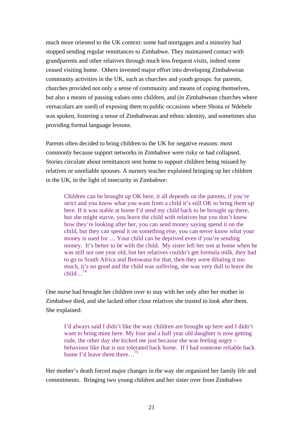much more oriented to the UK context: some had mortgages and a minority had stopped sending regular remittances to Zimbabwe. They maintained contact with grandparents and other relatives through much less frequent visits, indeed some ceased visiting home. Others invested major effort into developing Zimbabwean community activities in the UK, such as churches and youth groups: for parents, churches provided not only a sense of community and means of coping themselves, but also a means of passing values onto children, and (in Zimbabwean churches where vernaculars are used) of exposing them to public occasions where Shona or Ndebele was spoken, fostering a sense of Zimbabwean and ethnic identity, and sometimes also providing formal language lessons.

Parents often decided to bring children to the UK for negative reasons: most commonly because support networks in Zimbabwe were risky or had collapsed. Stories circulate about remittances sent home to support children being misued by relatives or unreliable spouses. A nursery teacher explained bringing up her children in the UK, in the light of insecurity in Zimbabwe:

Children can be brought up OK here, it all depends on the parents, if you're strict and you know what you want from a child it's still OK to bring them up here. If it was stable at home I'd send my child back to be brought up there, but she might starve, you leave the child with relatives but you don't know how they're looking after her, you can send money saying spend it on the child, but they can spend it on something else, you can never know what your money is used for … Your child can be deprived even if you're sending money. It's better to be with the child. My sister left her son at home when he was still not one year old, but her relatives couldn't get formula milk, they had to go to South Africa and Botswana for that, then they were diluting it too much, it's no good and the child was suffering, she was very dull to leave the child[…74](#page-33-33)

One nurse had brought her children over to stay with her only after her mother in Zimbabwe died, and she lacked other close relatives she trusted to look after them. She explained:

I'd always said I didn't like the way children are brought up here and I didn't want to bring mine here. My four and a half year old daughter is now getting rude, the other day she kicked me just because she was feeling angry – behaviour like that is not tolerated back home. If I had someone reliable back home I'd leave them there…[75](#page-33-34)

Her mother's death forced major changes in the way she organized her family life and commitments. Bringing two young children and her sister over from Zimbabwe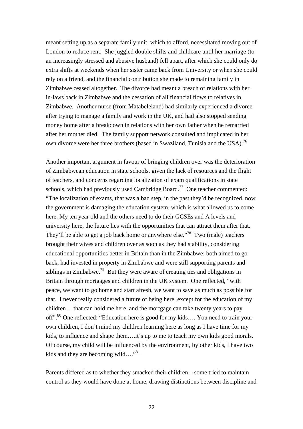meant setting up as a separate family unit, which to afford, necessitated moving out of London to reduce rent. She juggled double shifts and childcare until her marriage (to an increasingly stressed and abusive husband) fell apart, after which she could only do extra shifts at weekends when her sister came back from University or when she could rely on a friend, and the financial contribution she made to remaining family in Zimbabwe ceased altogether. The divorce had meant a breach of relations with her in-laws back in Zimbabwe and the cessation of all financial flows to relatives in Zimbabwe. Another nurse (from Matabeleland) had similarly experienced a divorce after trying to manage a family and work in the UK, and had also stopped sending money home after a breakdown in relations with her own father when he remarried after her mother died. The family support network consulted and implicated in her own divorce were her three brothers (based in Swaziland, Tunisia and the USA).<sup>[76](#page-33-35)</sup>

Another important argument in favour of bringing children over was the deterioration of Zimbabwean education in state schools, given the lack of resources and the flight of teachers, and concerns regarding localization of exam qualifications in state schools, which had previously used Cambridge Board.<sup>77</sup> One teacher commented: "The localization of exams, that was a bad step, in the past they'd be recognized, now the government is damaging the education system, which is what allowed us to come here. My ten year old and the others need to do their GCSEs and A levels and university here, the future lies with the opportunities that can attract them after that. They'll be able to get a job back home or anywhere else."<sup>78</sup> Two (male) teachers brought their wives and children over as soon as they had stability, considering educational opportunities better in Britain than in the Zimbabwe: both aimed to go back, had invested in property in Zimbabwe and were still supporting parents and siblings in Zimbabwe.<sup>79</sup> But they were aware of creating ties and obligations in Britain through mortgages and children in the UK system. One reflected, "with peace, we want to go home and start afresh, we want to save as much as possible for that. I never really considered a future of being here, except for the education of my children… that can hold me here, and the mortgage can take twenty years to pay off".[80](#page-33-39) One reflected: "Education here is good for my kids…. You need to train your own children, I don't mind my children learning here as long as I have time for my kids, to influence and shape them….it's up to me to teach my own kids good morals. Of course, my child will be influenced by the environment, by other kids, I have two kids and they are becoming wild…."<sup>[81](#page-33-54)</sup>

Parents differed as to whether they smacked their children – some tried to maintain control as they would have done at home, drawing distinctions between discipline and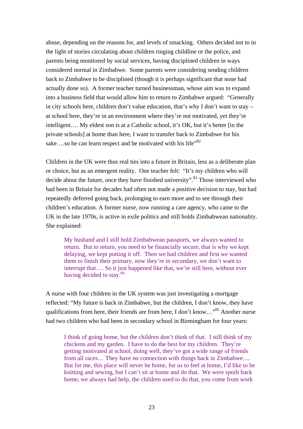abuse, depending on the reasons for, and levels of smacking. Others decided not to in the light of stories circulating about children ringing childline or the police, and parents being monitored by social services, having disciplined children in ways considered normal in Zimbabwe. Some parents were considering sending children back to Zimbabwe to be disciplined (though it is perhaps significant that none had actually done so). A former teacher turned businessman, whose aim was to expand into a business field that would allow him to return to Zimbabwe argued: "Generally in city schools here, children don't value education, that's why I don't want to stay – at school here, they're in an environment where they're not motivated, yet they're intelligent…. My eldest son is at a Catholic school, it's OK, but it's better [in the private schools] at home than here, I want to transfer back to Zimbabwe for his sake....so he can learn respect and be motivated with his life<sup>382</sup>

Children in the UK were thus real ties into a future in Britain, less as a deliberate plan or choice, but as an emergent reality. One teacher felt: "It's my children who will decide about the future, once they have finished university".<sup>83</sup> Those interviewed who had been in Britain for decades had often not made a positive decision to stay, but had repeatedly deferred going back, prolonging to earn more and to see through their children's education. A former nurse, now running a care agency, who came to the UK in the late 1970s, is active in exile politics and still holds Zimbabwean nationality. She explained:

My husband and I still hold Zimbabwean passports, we always wanted to return. But to return, you need to be financially secure, that is why we kept delaying, we kept putting it off. Then we had children and first we wanted them to finish their primary, now they're in secondary, we don't want to interrupt that…. So it just happened like that, we're still here, without ever having decided to stay.<sup>84</sup>

A nurse with four children in the UK system was just investigating a mortgage reflected: "My future is back in Zimbabwe, but the children, I don't know, they have qualifications from here, their friends are from here, I don't know…"[85](#page-33-57) Another nurse had two children who had been in secondary school in Birmingham for four years:

I think of going home, but the children don't think of that. I still think of my chickens and my garden. I have to do the best for my children. They're getting motivated at school, doing well, they've got a wide range of friends from all races… They have no connection with things back in Zimbabwe…. But for me, this place will never be home, for us to feel at home, I'd like to be knitting and sewing, but I can't sit at home and do that. We were spoilt back home, we always had help, the children used to do that, you come from work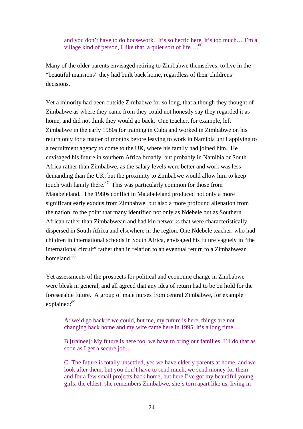and you don't have to do housework. It's so hectic here, it's too much… I'm a village kind of person, I like that, a quiet sort of life....<sup>86</sup>

Many of the older parents envisaged retiring to Zimbabwe themselves, to live in the "beautiful mansions" they had built back home, regardless of their childrens' decisions.

Yet a minority had been outside Zimbabwe for so long, that although they thought of Zimbabwe as where they came from they could not honestly say they regarded it as home, and did not think they would go back. One teacher, for example, left Zimbabwe in the early 1980s for training in Cuba and worked in Zimbabwe on his return only for a matter of months before leaving to work in Namibia until applying to a recruitment agency to come to the UK, where his family had joined him. He envisaged his future in southern Africa broadly, but probably in Namibia or South Africa rather than Zimbabwe, as the salary levels were better and work was less demanding than the UK, but the proximity to Zimbabwe would allow him to keep touch with family there. $87$  This was particularly common for those from Matabeleland. The 1980s conflict in Matabeleland produced not only a more significant early exodus from Zimbabwe, but also a more profound alienation from the nation, to the point that many identified not only as Ndebele but as Southern African rather than Zimbabwean and had kin networks that were characteristically dispersed in South Africa and elsewhere in the region. One Ndebele teacher, who had children in international schools in South Africa, envisaged his future vaguely in "the international circuit" rather than in relation to an eventual return to a Zimbabwean homeland<sup>88</sup>

Yet assessments of the prospects for political and economic change in Zimbabwe were bleak in general, and all agreed that any idea of return had to be on hold for the foreseeable future. A group of male nurses from central Zimbabwe, for example explained:<sup>89</sup>

A: we'd go back if we could, but me, my future is here, things are not changing back home and my wife came here in 1995, it's a long time….

B [trainee]: My future is here too, we have to bring our families, I'll do that as soon as I get a secure job…

C: The future is totally unsettled, yes we have elderly parents at home, and we look after them, but you don't have to send much, we send money for them and for a few small projects back home, but here I've got my beautiful young girls, the eldest, she remembers Zimbabwe, she's torn apart like us, living in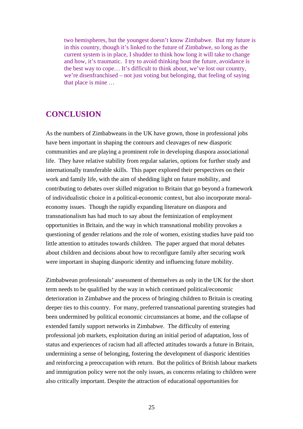two hemispheres, but the youngest doesn't know Zimbabwe. But my future is in this country, though it's linked to the future of Zimbabwe, so long as the current system is in place, I shudder to think how long it will take to change and how, it's traumatic. I try to avoid thinking bout the future, avoidance is the best way to cope… It's difficult to think about, we've lost our country, we're disenfranchised – not just voting but belonging, that feeling of saying that place is mine …

#### **CONCLUSION**

As the numbers of Zimbabweans in the UK have grown, those in professional jobs have been important in shaping the contours and cleavages of new diasporic communities and are playing a prominent role in developing diaspora associational life. They have relative stability from regular salaries, options for further study and internationally transferable skills. This paper explored their perspectives on their work and family life, with the aim of shedding light on future mobility, and contributing to debates over skilled migration to Britain that go beyond a framework of individualistic choice in a political-economic context, but also incorporate moraleconomy issues. Though the rapidly expanding literature on diaspora and transnationalism has had much to say about the feminization of employment opportunities in Britain, and the way in which transnational mobility provokes a questioning of gender relations and the role of women, existing studies have paid too little attention to attitudes towards children. The paper argued that moral debates about children and decisions about how to reconfigure family after securing work were important in shaping diasporic identity and influencing future mobility.

Zimbabwean professionals' assessment of themselves as only in the UK for the short term needs to be qualified by the way in which continued political/economic deterioration in Zimbabwe and the process of bringing children to Britain is creating deeper ties to this country. For many, preferred transnational parenting strategies had been undermined by political economic circumstances at home, and the collapse of extended family support networks in Zimbabwe. The difficulty of entering professional job markets, exploitation during an initial period of adaptation, loss of status and experiences of racism had all affected attitudes towards a future in Britain, undermining a sense of belonging, fostering the development of diasporic identities and reinforcing a preoccupation with return. But the politics of British labour markets and immigration policy were not the only issues, as concerns relating to children were also critically important. Despite the attraction of educational opportunities for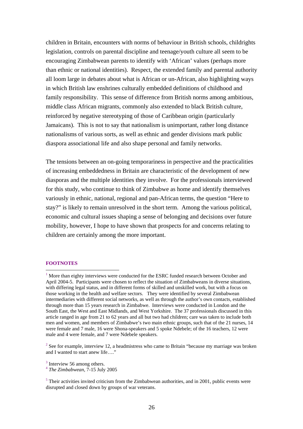children in Britain, encounters with norms of behaviour in British schools, childrights legislation, controls on parental discipline and teenage/youth culture all seem to be encouraging Zimbabwean parents to identify with 'African' values (perhaps more than ethnic or national identities). Respect, the extended family and parental authority all loom large in debates about what is African or un-African, also highlighting ways in which British law enshrines culturally embedded definitions of childhood and family responsibility. This sense of difference from British norms among ambitious, middle class African migrants, commonly also extended to black British culture, reinforced by negative stereotyping of those of Caribbean origin (particularly Jamaicans). This is not to say that nationalism is unimportant, rather long distance nationalisms of various sorts, as well as ethnic and gender divisions mark public diaspora associational life and also shape personal and family networks.

The tensions between an on-going temporariness in perspective and the practicalities of increasing embeddedness in Britain are characteristic of the development of new diasporas and the multiple identities they involve. For the professionals interviewed for this study, who continue to think of Zimbabwe as home and identify themselves variously in ethnic, national, regional and pan-African terms, the question "Here to stay?" is likely to remain unresolved in the short term. Among the various political, economic and cultural issues shaping a sense of belonging and decisions over future mobility, however, I hope to have shown that prospects for and concerns relating to children are certainly among the more important.

#### **FOOTNOTES**

 $\overline{a}$ 

 $2^{2}$  See for example, interview 12, a headmistress who came to Britain "because my marriage was broken and I wanted to start anew life…."

 $1$  More than eighty interviews were conducted for the ESRC funded research between October and April 2004-5. Participants were chosen to reflect the situation of Zimbabweans in diverse situations, with differing legal status, and in different forms of skilled and unskilled work, but with a focus on those working in the health and welfare sectors. They were identified by several Zimbabwean intermediaries with different social networks, as well as through the author's own contacts, established through more than 15 years research in Zimbabwe. Interviews were conducted in London and the South East, the West and East Midlands, and West Yorkshire. The 37 professionals discussed in this article ranged in age from 21 to 62 years and all but two had children; care was taken to include both men and women, and members of Zimbabwe's two main ethnic groups, such that of the 21 nurses, 14 were female and 7 male, 16 were Shona-speakers and 5 spoke Ndebele; of the 16 teachers, 12 were male and 4 were female, and 7 were Ndebele speakers.

<sup>3</sup> Interview 56 among others. 4 *The Zimbabwean,* 7-15 July 2005

 $<sup>5</sup>$  Their activities invited criticism from the Zimbabwean authorities, and in 2001, public events were</sup> disrupted and closed down by groups of war veterans.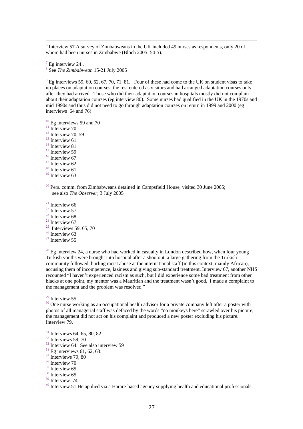$6$  Interview 57 A survey of Zimbabweans in the UK included 49 nurses as respondents, only 20 of whom had been nurses in Zimbabwe (Bloch 2005: 54-5).

 $^7$  Eg interview 24..

See *The Zimbabwean* 15-21 July 2005

 $9$  Eg interviews 59, 60, 62, 67, 70, 71, 81. Four of these had come to the UK on student visas to take up places on adaptation courses, the rest entered as visitors and had arranged adaptation courses only after they had arrived. Those who did their adaptation courses in hospitals mostly did not complain about their adaptation courses (eg interview 80). Some nurses had qualified in the UK in the 1970s and mid 1990s and thus did not need to go through adaptation courses on return in 1999 and 2000 (eg interviews 64 and 76)

<sup>10</sup> Eg interviews 59 and 70<br><sup>11</sup> Interview 70<br><sup>12</sup> Interview 70, 59<br><sup>13</sup> Interview 61<br><sup>14</sup> Interview 81<br><sup>15</sup> Interview 67<br><sup>17</sup> Interview 62<br><sup>18</sup> Interview 61

<sup>19</sup> Interview 63

 $20$  Pers. comm. from Zimbabweans detained in Campsfield House, visited 30 June 2005; see also *The Observer*, 3 July 2005

<sup>21</sup> Interview 66<br>
<sup>22</sup> Interview 57<br>
<sup>23</sup> Interview 67<br>
<sup>25</sup> Interviews 59, 65, 70<br>
<sup>26</sup> Interview 63<br>
<sup>27</sup> Interview 55

 $^{28}$  Eg interview 24, a nurse who had worked in casualty in London described how, when four young Turkish youths were brought into hospital after a shootout, a large gathering from the Turkish community followed, hurling racist abuse at the international staff (in this context, mainly African), accusing them of incompetence, laziness and giving sub-standard treatment. Interview 67, another NHS recounted "I haven't experienced racism as such, but I did experience some bad treatment from other blacks at one point, my mentor was a Mauritian and the treatment wasn't good. I made a complaint to the management and the problem was resolved."

<sup>29</sup> Interview 55<br><sup>30</sup> One nurse working as an occupational health advisor for a private company left after a poster with photos of all managerial staff was defaced by the words "no monkeys here" scrawled over his picture, the management did not act on his complaint and produced a new poster excluding his picture. Interview 79.

<sup>31</sup> Interviews 64, 65, 80, 82<br><sup>32</sup> Interviews 59, 70<br><sup>33</sup> Interview 64. See also interview 59<br><sup>34</sup> Eg interviews 61, 62, 63.<br><sup>35</sup> Interviews 79, 80<br><sup>36</sup> Interview 70<br><sup>37</sup> Interview 65<br><sup>39</sup> Interview 74

 $30$  Interview 51 He applied via a Harare-based agency supplying health and educational professionals.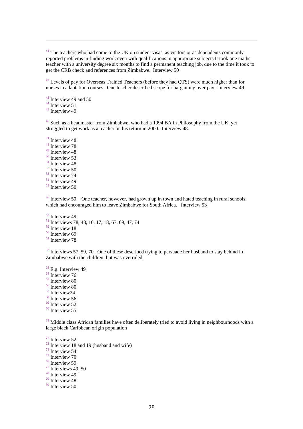$41$  The teachers who had come to the UK on student visas, as visitors or as dependents commonly reported problems in finding work even with qualifications in appropriate subjects It took one maths teacher with a university degree six months to find a permanent teaching job, due to the time it took to get the CRB check and references from Zimbabwe. Interview 50

<sup>42</sup> Levels of pay for Overseas Trained Teachers (before they had QTS) were much higher than for nurses in adaptation courses. One teacher described scope for bargaining over pay. Interview 49.

<sup>43</sup> Interview 49 and 50<br><sup>44</sup> Interview 51<br><sup>45</sup> Interview 49

 $\overline{a}$ 

<sup>46</sup> Such as a headmaster from Zimbabwe, who had a 1994 BA in Philosophy from the UK, yet struggled to get work as a teacher on his return in 2000. Interview 48.

<sup>47</sup> Interview 48<br><sup>48</sup> Interview 78<br><sup>49</sup> Interview 48  $\frac{40}{51}$  Interview 53<br>  $\frac{51}{52}$  Interview 48<br>  $\frac{52}{53}$  Interview 74<br>  $\frac{54}{55}$  Interview 50

<sup>56</sup> Interview 50. One teacher, however, had grown up in town and hated teaching in rural schools, which had encouraged him to leave Zimbabwe for South Africa. Interview 53

<sup>57</sup> Interview 49<br><sup>58</sup> Interviews 78, 48, 16, 17, 18, 67, 69, 47, 74<br><sup>59</sup> Interview 18

 $\frac{60}{61}$  Interview 69

 $62$  Interviews 57, 59, 70. One of these described trying to persuade her husband to stay behind in Zimbabwe with the children, but was overruled.

<sup>63</sup> E.g. Interview 49<br><sup>64</sup> Interview 76<br><sup>65</sup> Interview 80<br><sup>66</sup> Interview 80<br><sup>67</sup> Interview 56<br><sup>69</sup> Interview 52<br><sup>70</sup> Interview 55

 $71$  Middle class African families have often deliberately tried to avoid living in neighbourhoods with a large black Caribbean origin population

<sup>72</sup> Interview 52<br>
<sup>73</sup> Interview 18 and 19 (husband and wife)<br>
<sup>74</sup> Interview 54<br>
<sup>75</sup> Interview 70<br>
<sup>76</sup> Interview 59<br>
<sup>77</sup> Interview 49, 50<br>
<sup>78</sup> Interview 48<br>
<sup>79</sup> Interview 48<br>
<sup>80</sup> Interview 50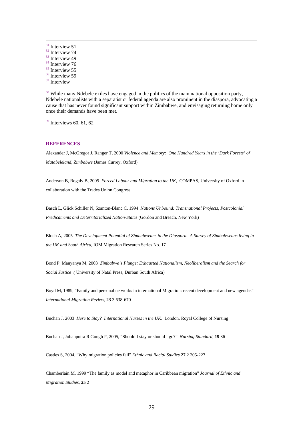<sup>81</sup> Interview 74<br>
<sup>83</sup> Interview 74<br>
<sup>83</sup> Interview 49<br>
<sup>85</sup> Interview 55<br>
<sup>86</sup> Interview 59<br>
<sup>87</sup> Interview

<sup>88</sup> While many Ndebele exiles have engaged in the politics of the main national opposition party, Ndebele nationalists with a separatist or federal agenda are also prominent in the diaspora, advocating a cause that has never found significant support within Zimbabwe, and envisaging returning home only once their demands have been met.

 $89$  Interviews 60, 61, 62

#### **REFERENCES**

Alexander J, McGregor J, Ranger T, 2000 *Violence and Memory: One Hundred Years in the 'Dark Forests' of Matabeleland, Zimbabwe* (James Currey, Oxford)

Anderson B, Rogaly B, 2005 *Forced Labour and Migration to the UK*, COMPAS, University of Oxford in collaboration with the Trades Union Congress.

Basch L, Glick Schiller N, Szanton-Blanc C, 1994 *Nations Unbound: Transnational Projects, Postcolonial Predicaments and Deterritorialized Nation-States* (Gordon and Breach, New York)

Bloch A, 2005 *The Development Potential of Zimbabweans in the Diaspora. A Survey of Zimbabweans living in the UK and South Africa*, IOM Migration Research Series No. 17

Bond P, Manyanya M, 2003 *Zimbabwe's Plunge: Exhausted Nationalism, Neoliberalism and the Search for Social Justice (* University of Natal Press, Durban South Africa)

Boyd M, 1989, "Family and personal networks in international Migration: recent development and new agendas" *International Migration Review,* **23** 3 638-670

Buchan J, 2003 *Here to Stay? International Nurses in the UK*. London, Royal College of Nursing

Buchan J, Jobanputra R Gough P, 2005, "Should I stay or should I go?" *Nursing Standard*, **19** 36

Castles S, 2004, "Why migration policies fail" *Ethnic and Racial Studies* **27** 2 205-227

Chamberlain M, 1999 "The family as model and metaphor in Caribbean migration" *Journal of Ethnic and Migration Studies*, **25** 2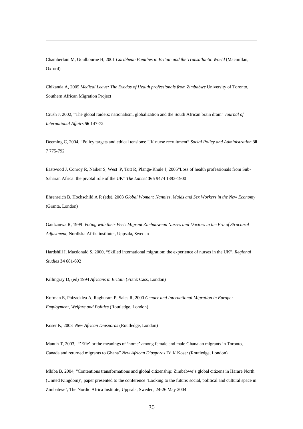Chamberlain M, Goulbourne H, 2001 *Caribbean Families in Britain and the Transatlantic World* (Macmillan, Oxford)

 $\overline{a}$ 

Chikanda A, 2005 *Medical Leave: The Exodus of Health professionals from Zimbabwe* University of Toronto, Southern African Migration Project

Crush J, 2002, "The global raiders: nationalism, globalization and the South African brain drain" *Journal of International Affairs* **56** 147-72

Deeming C, 2004, "Policy targets and ethical tensions: UK nurse recruitment" *Social Policy and Administration* **38** 7 775-792

Eastwood J, Conroy R, Naiker S, West P, Tutt R, Plange-Rhule J, 2005"Loss of health professionals from Sub-Saharan Africa: the pivotal role of the UK" *The Lancet* **365** 9474 1893-1900

Ehrenreich B, Hochschild A R (eds), 2003 *Global Woman: Nannies, Maids and Sex Workers in the New Economy* (Granta, London)

Gaidzanwa R, 1999 *Voting with their Feet: Migrant Zimbabwean Nurses and Doctors in the Era of Structural Adjustment*, Nordiska Afrikainstitutet, Uppsala, Sweden

Hardshill I, Macdonald S, 2000, "Skilled international migration: the experience of nurses in the UK", *Regional Studies* **34** 681-692

Killingray D, (ed) 1994 *Africans in Britain* (Frank Cass, London)

Kofman E, Phizacklea A, Raghuram P, Sales R, 2000 *Gender and International Migration in Europe: Employment, Welfare and Politics* (Routledge, London)

Koser K, 2003 *New African Diasporas* (Routledge, London)

Manuh T, 2003, "'Efie' or the meanings of 'home' among female and male Ghanaian migrants in Toronto, Canada and returned migrants to Ghana" *New African Diasporas* Ed K Koser (Routledge, London)

Mbiba B, 2004, "Contentious transformations and global citizenship: Zimbabwe's global citizens in Harare North (United Kingdom)', paper presented to the conference 'Looking to the future: social, political and cultural space in Zimbabwe', The Nordic Africa Institute, Uppsala, Sweden, 24-26 May 2004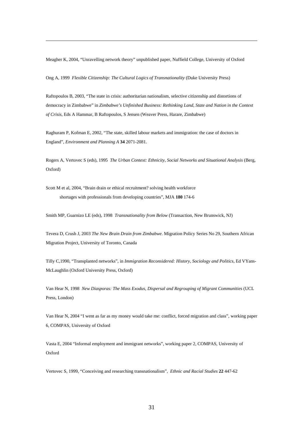Meagher K, 2004, "Unravelling network theory" unpublished paper, Nuffield College, University of Oxford

Ong A, 1999 *Flexible Citizenship: The Cultural Logics of Transnationality* (Duke University Press)

 $\overline{a}$ 

Raftopoulos B, 2003, "The state in crisis: authoritarian nationalism, selective citizenship and distortions of democracy in Zimbabwe" in *Zimbabwe's Unfinished Business: Rethinking Land, State and Nation in the Context of Crisis,* Eds A Hammar, B Raftopoulos, S Jensen (Weaver Press, Harare, Zimbabwe)

Raghuram P, Kofman E, 2002, "The state, skilled labour markets and immigration: the case of doctors in England", *Environment and Planning A* **34** 2071-2081.

Rogers A, Vertovec S (eds), 1995 *The Urban Context: Ethnicity, Social Networks and Situational Analysis* (Berg, Oxford)

Scott M et al, 2004, "Brain drain or ethical recruitment? solving health workforce shortages with professionals from developing countries", MJA **180** 174-6

Smith MP, Guarnizo LE (eds), 1998 *Transnationality from Below* (Transaction, New Brunswick, NJ)

Tevera D, Crush J, 2003 *The New Brain Drain from Zimbabwe*. Migration Policy Series No 29, Southern African Migration Project, University of Toronto, Canada

Tilly C,1990, "Transplanted networks", in *Immigration Reconsidered: History, Sociology and Politics,* Ed VYans-McLaughlin (Oxford University Press, Oxford)

Van Hear N, 1998 *New Diasporas: The Mass Exodus, Dispersal and Regrouping of Migrant Communities* (UCL Press, London)

Van Hear N, 2004 "I went as far as my money would take me: conflict, forced migration and class", working paper 6, COMPAS, University of Oxford

Vasta E, 2004 "Informal employment and immigrant networks", working paper 2, COMPAS, University of Oxford

Vertovec S, 1999, "Conceiving and researching transnationalism", *Ethnic and Racial Studies* **22** 447-62